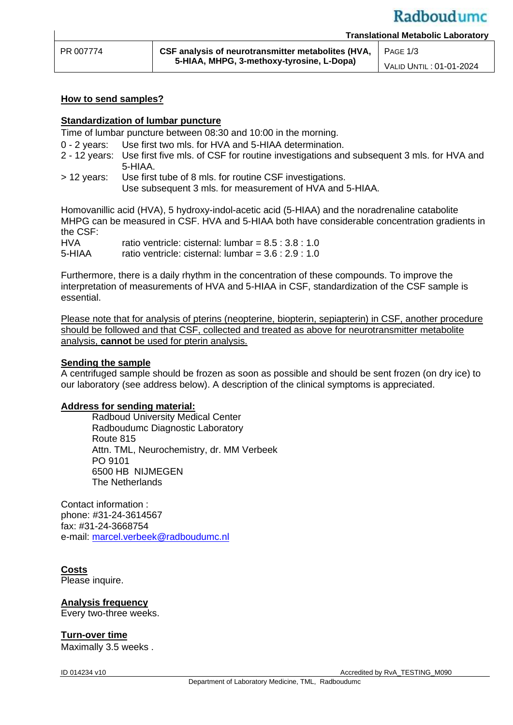#### **How to send samples?**

### **Standardization of lumbar puncture**

Time of lumbar puncture between 08:30 and 10:00 in the morning.

0 - 2 years: Use first two mls. for HVA and 5-HIAA determination.

- 2 12 years: Use first five mls. of CSF for routine investigations and subsequent 3 mls. for HVA and 5-HIAA.
- > 12 years: Use first tube of 8 mls. for routine CSF investigations. Use subsequent 3 mls. for measurement of HVA and 5-HIAA.

Homovanillic acid (HVA), 5 hydroxy-indol-acetic acid (5-HIAA) and the noradrenaline catabolite MHPG can be measured in CSF. HVA and 5-HIAA both have considerable concentration gradients in the CSF:

HVA ratio ventricle: cisternal: lumbar =  $8.5 : 3.8 : 1.0$ 5-HIAA ratio ventricle: cisternal: lumbar = 3.6 : 2.9 : 1.0

Furthermore, there is a daily rhythm in the concentration of these compounds. To improve the interpretation of measurements of HVA and 5-HIAA in CSF, standardization of the CSF sample is essential.

Please note that for analysis of pterins (neopterine, biopterin, sepiapterin) in CSF, another procedure should be followed and that CSF, collected and treated as above for neurotransmitter metabolite analysis, **cannot** be used for pterin analysis.

#### **Sending the sample**

A centrifuged sample should be frozen as soon as possible and should be sent frozen (on dry ice) to our laboratory (see address below). A description of the clinical symptoms is appreciated.

#### **Address for sending material:**

Radboud University Medical Center Radboudumc Diagnostic Laboratory Route 815 Attn. TML, Neurochemistry, dr. MM Verbeek PO 9101 6500 HB NIJMEGEN The Netherlands

Contact information : phone: #31-24-3614567 fax: #31-24-3668754 e-mail: [marcel.verbeek@radboudumc.nl](mailto:marcel.verbeek@radboudumc.nl)

## **Costs**

Please inquire.

#### **Analysis frequency**

Every two-three weeks.

#### **Turn-over time**

Maximally 3.5 weeks .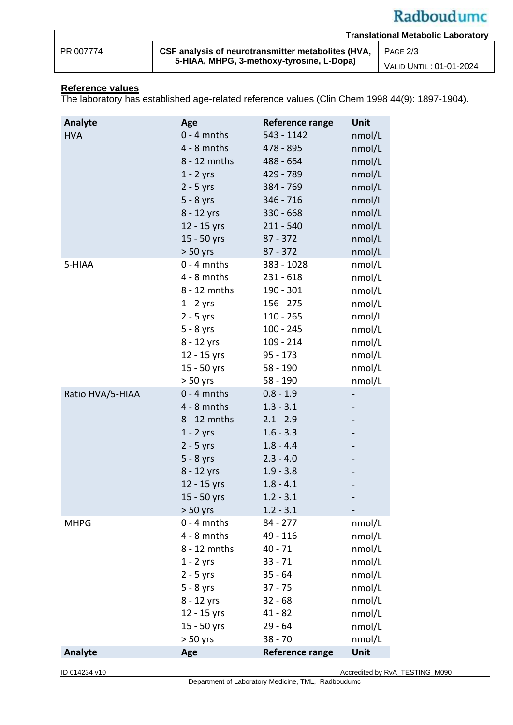# Radboudumc

| PR 007774 |  |
|-----------|--|

**CSF analysis of neurotransmitter metabolites (HVA, 5-HIAA, MHPG, 3-methoxy-tyrosine, L-Dopa)** PAGE 2/3 VALID UNTIL : 01-01-2024

#### **Reference values**

The laboratory has established age-related reference values (Clin Chem 1998 44(9): 1897-1904).

| Analyte          | Age           | Reference range        | Unit   |
|------------------|---------------|------------------------|--------|
| <b>HVA</b>       | $0 - 4$ mnths | 543 - 1142             | nmol/L |
|                  | $4 - 8$ mnths | 478 - 895              | nmol/L |
|                  | 8 - 12 mnths  | 488 - 664              | nmol/L |
|                  | $1 - 2$ yrs   | 429 - 789              | nmol/L |
|                  | $2 - 5$ yrs   | 384 - 769              | nmol/L |
|                  | $5 - 8$ yrs   | 346 - 716              | nmol/L |
|                  | 8 - 12 yrs    | $330 - 668$            | nmol/L |
|                  | 12 - 15 yrs   | $211 - 540$            | nmol/L |
|                  | 15 - 50 yrs   | $87 - 372$             | nmol/L |
|                  | $> 50$ yrs    | $87 - 372$             | nmol/L |
| 5-HIAA           | $0 - 4$ mnths | 383 - 1028             | nmol/L |
|                  | $4 - 8$ mnths | $231 - 618$            | nmol/L |
|                  | 8 - 12 mnths  | $190 - 301$            | nmol/L |
|                  | $1 - 2$ yrs   | $156 - 275$            | nmol/L |
|                  | $2 - 5$ yrs   | $110 - 265$            | nmol/L |
|                  | $5 - 8$ yrs   | $100 - 245$            | nmol/L |
|                  | 8 - 12 yrs    | $109 - 214$            | nmol/L |
|                  | 12 - 15 yrs   | $95 - 173$             | nmol/L |
|                  | 15 - 50 yrs   | 58 - 190               | nmol/L |
|                  | $> 50$ yrs    | 58 - 190               | nmol/L |
| Ratio HVA/5-HIAA | $0 - 4$ mnths | $0.8 - 1.9$            | -      |
|                  | $4 - 8$ mnths | $1.3 - 3.1$            |        |
|                  | 8 - 12 mnths  | $2.1 - 2.9$            |        |
|                  | $1 - 2$ yrs   | $1.6 - 3.3$            |        |
|                  | $2 - 5$ yrs   | $1.8 - 4.4$            |        |
|                  | $5 - 8$ yrs   | $2.3 - 4.0$            |        |
|                  | 8 - 12 yrs    | $1.9 - 3.8$            |        |
|                  | 12 - 15 yrs   | $1.8 - 4.1$            |        |
|                  | 15 - 50 yrs   | $1.2 - 3.1$            |        |
|                  | $> 50$ yrs    | $1.2 - 3.1$            |        |
| <b>MHPG</b>      | $0 - 4$ mnths | 84 - 277               | nmol/L |
|                  | $4 - 8$ mnths | 49 - 116               | nmol/L |
|                  | 8 - 12 mnths  | $40 - 71$              | nmol/L |
|                  | $1 - 2$ yrs   | $33 - 71$              | nmol/L |
|                  | $2 - 5$ yrs   | $35 - 64$              | nmol/L |
|                  | $5 - 8$ yrs   | $37 - 75$              | nmol/L |
|                  | $8 - 12$ yrs  | $32 - 68$              | nmol/L |
|                  | 12 - 15 yrs   | $41 - 82$              | nmol/L |
|                  | 15 - 50 yrs   | $29 - 64$              | nmol/L |
|                  | $> 50$ yrs    | $38 - 70$              | nmol/L |
| <b>Analyte</b>   | Age           | <b>Reference range</b> | Unit   |

Department of Laboratory Medicine, TML, Radboudumc

ID 014234 v10 Accredited by RvA\_TESTING\_M090